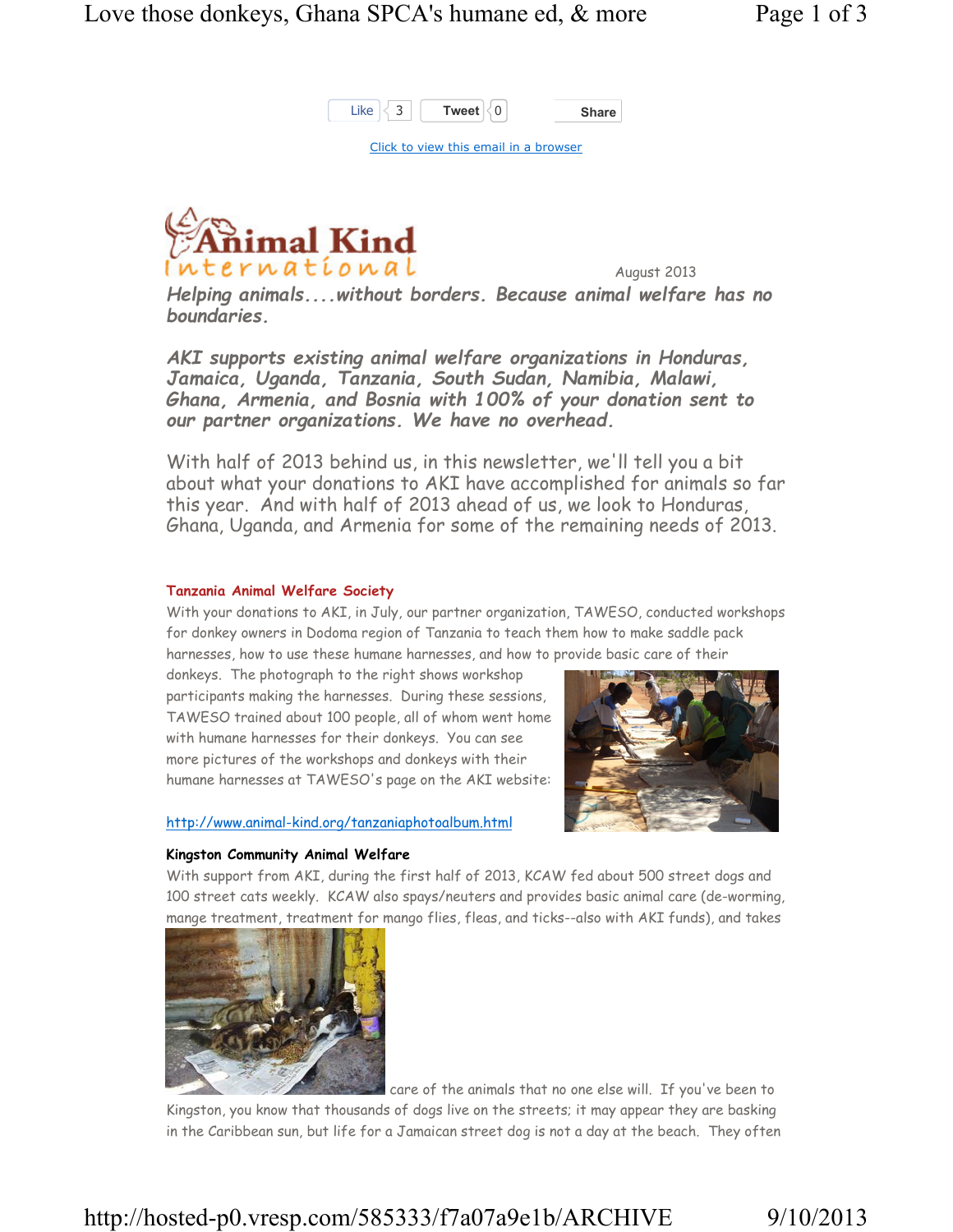

Click to view this email in a browser



August 2013

Helping animals....without borders. Because animal welfare has no boundaries.

AKI supports existing animal welfare organizations in Honduras, Jamaica, Uganda, Tanzania, South Sudan, Namibia, Malawi, Ghana, Armenia, and Bosnia with 100% of your donation sent to our partner organizations. We have no overhead.

With half of 2013 behind us, in this newsletter, we'll tell you a bit about what your donations to AKI have accomplished for animals so far this year. And with half of 2013 ahead of us, we look to Honduras, Ghana, Uganda, and Armenia for some of the remaining needs of 2013.

### Tanzania Animal Welfare Society

With your donations to AKI, in July, our partner organization, TAWESO, conducted workshops for donkey owners in Dodoma region of Tanzania to teach them how to make saddle pack harnesses, how to use these humane harnesses, and how to provide basic care of their

donkeys. The photograph to the right shows workshop participants making the harnesses. During these sessions, TAWESO trained about 100 people, all of whom went home with humane harnesses for their donkeys. You can see more pictures of the workshops and donkeys with their humane harnesses at TAWESO's page on the AKI website:

### http://www.animal-kind.org/tanzaniaphotoalbum.html



### Kingston Community Animal Welfare

With support from AKI, during the first half of 2013, KCAW fed about 500 street dogs and 100 street cats weekly. KCAW also spays/neuters and provides basic animal care (de-worming, mange treatment, treatment for mango flies, fleas, and ticks--also with AKI funds), and takes



 care of the animals that no one else will. If you've been to Kingston, you know that thousands of dogs live on the streets; it may appear they are basking in the Caribbean sun, but life for a Jamaican street dog is not a day at the beach. They often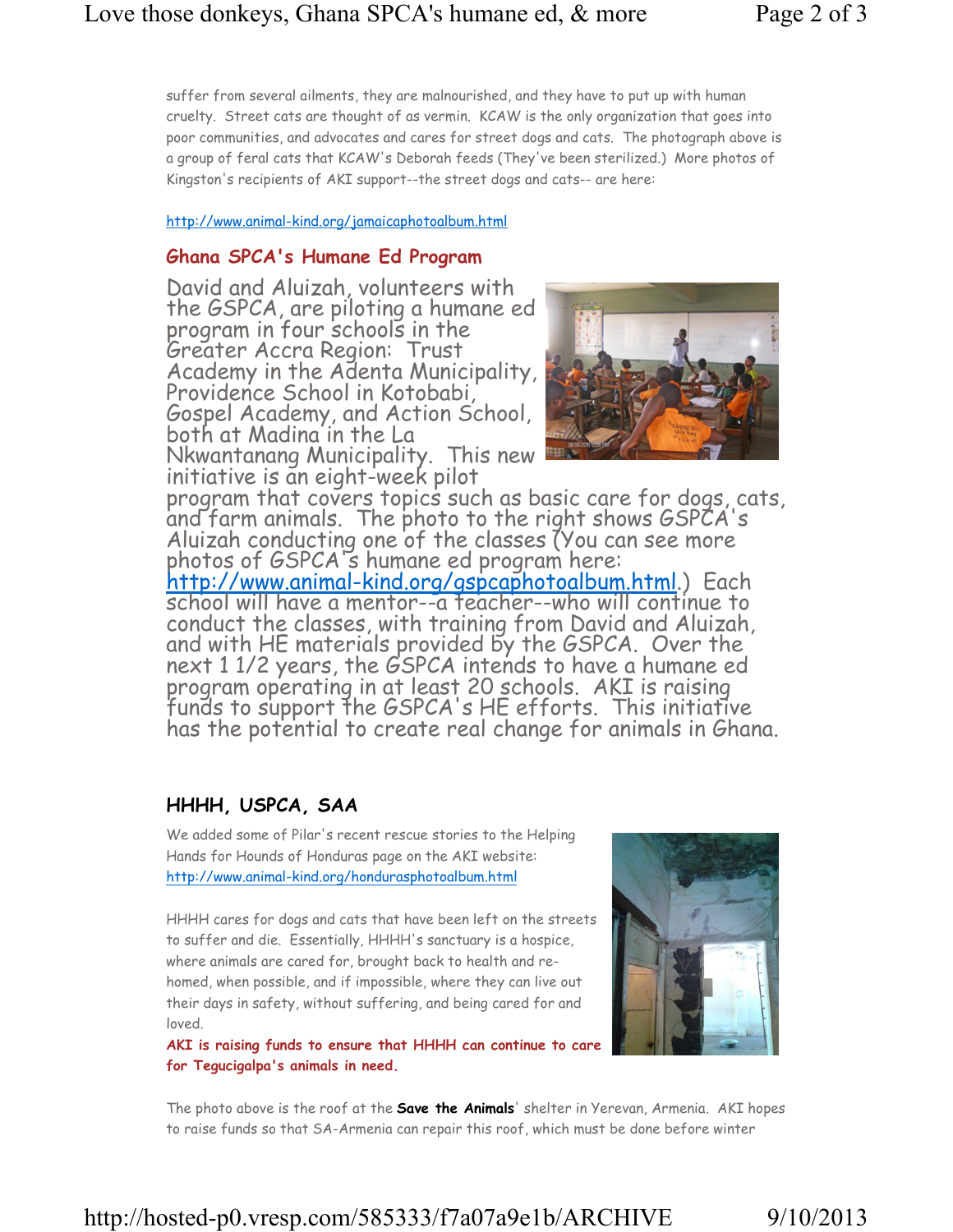suffer from several ailments, they are malnourished, and they have to put up with human cruelty. Street cats are thought of as vermin. KCAW is the only organization that goes into poor communities, and advocates and cares for street dogs and cats. The photograph above is a group of feral cats that KCAW's Deborah feeds (They've been sterilized.) More photos of Kingston's recipients of AKI support--the street dogs and cats-- are here:

http://www.animal-kind.org/jamaicaphotoalbum.html

### Ghana SPCA's Humane Ed Program

David and Aluizah, volunteers with the GSPCA, are piloting a humane ed program in four schools in the Greater Accra Region: Trust Academy in the Adenta Municipality, Providence School in Kotobabi, Gospel Academy, and Action School, both at Madina in the La

Nkwantanang Municipality. This new initiative is an eight-week pilot



program that covers topics such as basic care for dogs, cats, and farm animals. The photo to the right shows GSPCA's Aluizah conducting one of the classes (You can see more photos of GSPCA's humane ed program here:

http://www.animal-kind.org/gspcaphotoalbum.html.) Each school will have a mentor--a teacher--who will continue to conduct the classes, with training from David and Aluizah, and with HE materials provided by the GSPCA. Over the next 1 1/2 years, the GSPCA intends to have a humane ed program operating in at least 20 schools. AKI is raising funds to support the GSPCA's HE efforts. This initiative has the potential to create real change for animals in Ghana.

# HHHH, USPCA, SAA

We added some of Pilar's recent rescue stories to the Helping Hands for Hounds of Honduras page on the AKI website: http://www.animal-kind.org/hondurasphotoalbum.html

HHHH cares for dogs and cats that have been left on the streets to suffer and die. Essentially, HHHH's sanctuary is a hospice, where animals are cared for, brought back to health and rehomed, when possible, and if impossible, where they can live out their days in safety, without suffering, and being cared for and loved.

AKI is raising funds to ensure that HHHH can continue to care for Tegucigalpa's animals in need.



The photo above is the roof at the **Save the Animals'** shelter in Yerevan, Armenia. AKI hopes to raise funds so that SA-Armenia can repair this roof, which must be done before winter

# http://hosted-p0.vresp.com/585333/f7a07a9e1b/ARCHIVE 9/10/2013